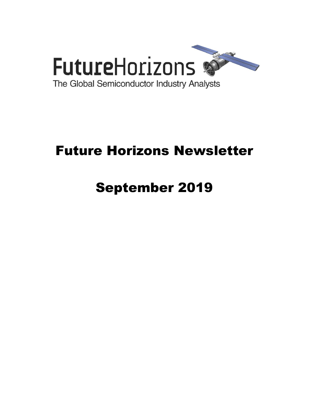

# Future Horizons Newsletter

# September 2019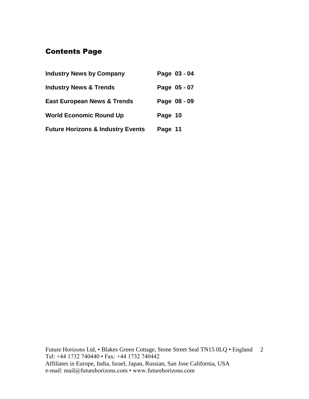# Contents Page

| <b>Industry News by Company</b>              | Page 03 - 04 |
|----------------------------------------------|--------------|
| <b>Industry News &amp; Trends</b>            | Page 05 - 07 |
| <b>East European News &amp; Trends</b>       | Page 08 - 09 |
| <b>World Economic Round Up</b>               | Page 10      |
| <b>Future Horizons &amp; Industry Events</b> | Page 11      |

Future Horizons Ltd, • Blakes Green Cottage, Stone Street Seal TN15 0LQ • England 2 Tel: +44 1732 740440 • Fax: +44 1732 740442 Affiliates in Europe, India, Israel, Japan, Russian, San Jose California, USA e-mail: mail@futurehorizons.com • www.futurehorizons.com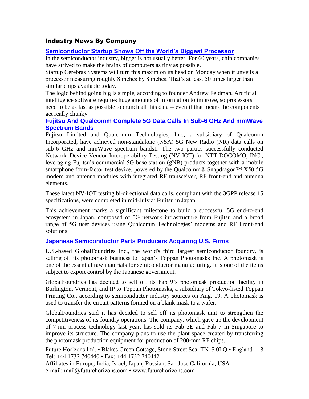# Industry News By Company

## **[Semiconductor Startup Shows Off the World's Biggest Processor](https://www.industryweek.com/technology-and-iiot/semiconductor-startup-shows-world-s-biggest-processor)**

In the semiconductor industry, bigger is not usually better. For 60 years, chip companies have strived to make the brains of computers as tiny as possible.

Startup Cerebras Systems will turn this maxim on its head on Monday when it unveils a processor measuring roughly 8 inches by 8 inches. That's at least 50 times larger than similar chips available today.

The logic behind going big is simple, according to founder Andrew Feldman. Artificial intelligence software requires huge amounts of information to improve, so processors need to be as fast as possible to crunch all this data -- even if that means the components get really chunky.

## **[Fujitsu And Qualcomm Complete 5G Data Calls In Sub-6 GHz And mmWave](https://www.qualcomm.com/news/releases/2019/08/21/fujitsu-and-qualcomm-complete-5g-data-calls-sub-6-ghz-and-mmwave-spectrum?mkt_tok=eyJpIjoiWVRka05ETXpOR0pqT0dKaiIsInQiOiJjRE12QW9iQlFLXC9pK25PNzl2NHNwUkpRNjJJY29sdzdRTytsaVhNWDFENzVJVkh6RlpWYkJ2Q1VFUWlGaUtG)  [Spectrum Bands](https://www.qualcomm.com/news/releases/2019/08/21/fujitsu-and-qualcomm-complete-5g-data-calls-sub-6-ghz-and-mmwave-spectrum?mkt_tok=eyJpIjoiWVRka05ETXpOR0pqT0dKaiIsInQiOiJjRE12QW9iQlFLXC9pK25PNzl2NHNwUkpRNjJJY29sdzdRTytsaVhNWDFENzVJVkh6RlpWYkJ2Q1VFUWlGaUtG)**

Fujitsu Limited and Qualcomm Technologies, Inc., a subsidiary of Qualcomm Incorporated, have achieved non-standalone (NSA) 5G New Radio (NR) data calls on sub-6 GHz and mmWave spectrum bands1. The two parties successfully conducted Network–Device Vendor Interoperability Testing (NV-IOT) for NTT DOCOMO, INC., leveraging Fujitsu's commercial 5G base station (gNB) products together with a mobile smartphone form-factor test device, powered by the Qualcomm® Snapdragon<sup>™</sup> X50 5G modem and antenna modules with integrated RF transceiver, RF front-end and antenna elements.

These latest NV-IOT testing bi-directional data calls, compliant with the 3GPP release 15 specifications, were completed in mid-July at Fujitsu in Japan.

This achievement marks a significant milestone to build a successful 5G end-to-end ecosystem in Japan, composed of 5G network infrastructure from Fujitsu and a broad range of 5G user devices using Qualcomm Technologies' modems and RF Front-end solutions.

### **[Japanese Semiconductor Parts Producers Acquiring U.S. Firms](http://www.businesskorea.co.kr/news/articleView.html?idxno=35063)**

U.S.-based GlobalFoundries Inc., the world's third largest semiconductor foundry, is selling off its photomask business to Japan's Toppan Photomasks Inc. A photomask is one of the essential raw materials for semiconductor manufacturing. It is one of the items subject to export control by the Japanese government.

GlobalFoundries has decided to sell off its Fab 9's photomask production facility in Burlington, Vermont, and IP to Toppan Photomasks, a subsidiary of Tokyo-listed Toppan Printing Co., according to semiconductor industry sources on Aug. 19. A photomask is used to transfer the circuit patterns formed on a blank mask to a wafer.

GlobalFoundries said it has decided to sell off its photomask unit to strengthen the competitiveness of its foundry operations. The company, which gave up the development of 7-nm process technology last year, has sold its Fab 3E and Fab 7 in Singapore to improve its structure. The company plans to use the plant space created by transferring the photomask production equipment for production of 200-mm RF chips.

Future Horizons Ltd, • Blakes Green Cottage, Stone Street Seal TN15 0LQ • England Tel: +44 1732 740440 • Fax: +44 1732 740442 3

Affiliates in Europe, India, Israel, Japan, Russian, San Jose California, USA e-mail: mail@futurehorizons.com • www.futurehorizons.com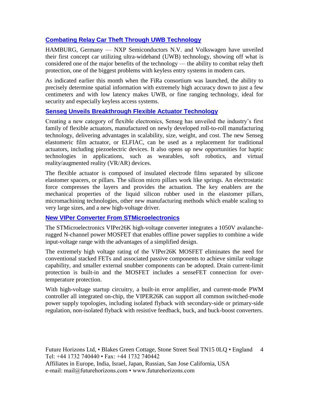# **[Combating Relay Car Theft Through UWB Technology](https://www.eetindia.co.in/news/article/Combating-Relay-Car-Theft-Through-UWB-Technology?utm_source=EETI%20Article%20Alert&utm_medium=Email&utm_campaign=2019-08-28)**

HAMBURG, Germany — NXP Semiconductors N.V. and Volkswagen have unveiled their first concept car utilizing ultra-wideband (UWB) technology, showing off what is considered one of the major benefits of the technology — the ability to combat relay theft protection, one of the biggest problems with keyless entry systems in modern cars.

As indicated earlier this month when the FiRa consortium was launched, the ability to precisely determine spatial information with extremely high accuracy down to just a few centimeters and with low latency makes UWB, or fine ranging technology, ideal for security and especially keyless access systems.

### **[Senseg Unveils Breakthrough Flexible Actuator Technology](https://www.eetimes.com/document.asp?doc_id=1335067&_mc=RSS_EET_EDT&utm_source=newsletter&utm_campaign=link&utm_medium=EETimesIoT-20190905)**

Creating a new category of flexible electronics, Senseg has unveiled the industry's first family of flexible actuators, manufactured on newly developed roll-to-roll manufacturing technology, delivering advantages in scalability, size, weight, and cost. The new Senseg elastomeric film actuator, or ELFIAC, can be used as a replacement for traditional actuators, including piezoelectric devices. It also opens up new opportunities for haptic technologies in applications, such as wearables, soft robotics, and virtual reality/augmented reality (VR/AR) devices.

The flexible actuator is composed of insulated electrode films separated by silicone elastomer spacers, or pillars. The silicon micro pillars work like springs. An electrostatic force compresses the layers and provides the actuation. The key enablers are the mechanical properties of the liquid silicon rubber used in the elastomer pillars, micromachining technologies, other new manufacturing methods which enable scaling to very large sizes, and a new high-voltage driver.

# **[New VIPer Converter From STMicroelectronics](https://www.eetindia.co.in/news/article/New-VIPer-Converter-from-STMicroelectronics)**

The STMicroelectronics VIPer26K high-voltage converter integrates a 1050V avalancherugged N-channel power MOSFET that enables offline power supplies to combine a wide input-voltage range with the advantages of a simplified design.

The extremely high voltage rating of the VIPer26K MOSFET eliminates the need for conventional stacked FETs and associated passive components to achieve similar voltage capability, and smaller external snubber components can be adopted. Drain current-limit protection is built-in and the MOSFET includes a senseFET connection for overtemperature protection.

With high-voltage startup circuitry, a built-in error amplifier, and current-mode PWM controller all integrated on-chip, the VIPER26K can support all common switched-mode power supply topologies, including isolated flyback with secondary-side or primary-side regulation, non-isolated flyback with resistive feedback, buck, and buck-boost converters.

Future Horizons Ltd, • Blakes Green Cottage, Stone Street Seal TN15 0LQ • England 4 Tel: +44 1732 740440 • Fax: +44 1732 740442 Affiliates in Europe, India, Israel, Japan, Russian, San Jose California, USA e-mail: mail@futurehorizons.com • www.futurehorizons.com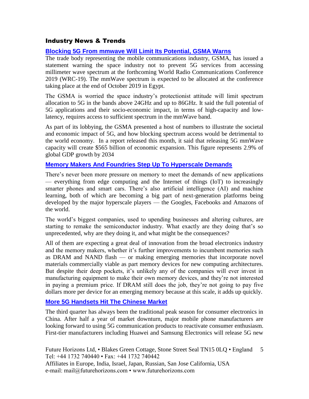# Industry News & Trends

# **[Blocking 5G From mmwave Will Limit Its Potential, GSMA Warns](https://www.eetimes.com/document.asp?doc_id=1334981&_mc=RSS_EET_EDT&utm_source=newsletter&utm_campaign=link&utm_medium=EETimesIoT-20190815)**

The trade body representing the mobile communications industry, GSMA, has issued a statement warning the space industry not to prevent 5G services from accessing millimeter wave spectrum at the forthcoming World Radio Communications Conference 2019 (WRC-19). The mmWave spectrum is expected to be allocated at the conference taking place at the end of October 2019 in Egypt.

The GSMA is worried the space industry's protectionist attitude will limit spectrum allocation to 5G in the bands above 24GHz and up to 86GHz. It said the full potential of 5G applications and their socio-economic impact, in terms of high-capacity and lowlatency, requires access to sufficient spectrum in the mmWave band.

As part of its lobbying, the GSMA presented a host of numbers to illustrate the societal and economic impact of 5G, and how blocking spectrum access would be detrimental to the world economy. In a report released this month, it said that releasing 5G mmWave capacity will create \$565 billion of economic expansion. This figure represents 2.9% of global GDP growth by 2034

## **[Memory Makers And Foundries Step Up To Hyperscale Demands](https://www.eetimes.com/document.asp?doc_id=1334957&_mc=RSS_EET_EDT&utm_source=newsletter&utm_campaign=link&utm_medium=EETimesMemory-20190813)**

There's never been more pressure on memory to meet the demands of new applications — everything from edge computing and the Internet of things (IoT) to increasingly smarter phones and smart cars. There's also artificial intelligence (AI) and machine learning, both of which are becoming a big part of next-generation platforms being developed by the major hyperscale players — the Googles, Facebooks and Amazons of the world.

The world's biggest companies, used to upending businesses and altering cultures, are starting to remake the semiconductor industry. What exactly are they doing that's so unprecedented, why are they doing it, and what might be the consequences?

All of them are expecting a great deal of innovation from the broad electronics industry and the memory makers, whether it's further improvements to incumbent memories such as DRAM and NAND flash — or making emerging memories that incorporate novel materials commercially viable as part memory devices for new computing architectures. But despite their deep pockets, it's unlikely any of the companies will ever invest in manufacturing equipment to make their own memory devices, and they're not interested in paying a premium price. If DRAM still does the job, they're not going to pay five dollars more per device for an emerging memory because at this scale, it adds up quickly.

### **[More 5G Handsets Hit The Chinese Market](https://www.eetimes.com/document.asp?doc_id=1335044&_mc=RSS_EET_EDT&utm_source=newsletter&utm_campaign=link&utm_medium=EETimesDaily-20190820)**

The third quarter has always been the traditional peak season for consumer electronics in China. After half a year of market downturn, major mobile phone manufacturers are looking forward to using 5G communication products to reactivate consumer enthusiasm. First-tier manufacturers including Huawei and Samsung Electronics will release 5G new

Future Horizons Ltd, • Blakes Green Cottage, Stone Street Seal TN15 0LQ • England Tel: +44 1732 740440 • Fax: +44 1732 740442 Affiliates in Europe, India, Israel, Japan, Russian, San Jose California, USA e-mail: mail@futurehorizons.com • www.futurehorizons.com 5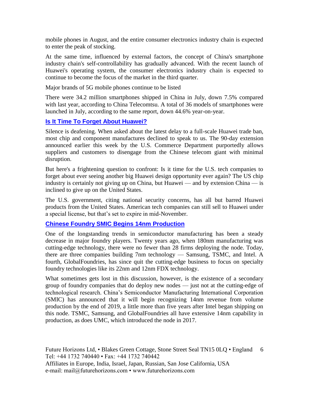mobile phones in August, and the entire consumer electronics industry chain is expected to enter the peak of stocking.

At the same time, influenced by external factors, the concept of China's smartphone industry chain's self-controllability has gradually advanced. With the recent launch of Huawei's operating system, the consumer electronics industry chain is expected to continue to become the focus of the market in the third quarter.

Major brands of 5G mobile phones continue to be listed

There were 34.2 million smartphones shipped in China in July, down 7.5% compared with last year, according to China Telecomtsu. A total of 36 models of smartphones were launched in July, according to the same report, down 44.6% year-on-year.

# **[Is It Time To Forget About Huawei?](https://www.eetimes.com/document.asp?doc_id=1335053&_mc=RSS_EET_EDT&utm_source=newsletter&utm_campaign=link&utm_medium=EETimesDaily-20190822)**

Silence is deafening. When asked about the latest delay to a full-scale Huawei trade ban, most chip and component manufactures declined to speak to us. The 90-day extension announced earlier this week by the U.S. Commerce Department purportedly allows suppliers and customers to disengage from the Chinese telecom giant with minimal disruption.

But here's a frightening question to confront: Is it time for the U.S. tech companies to forget about ever seeing another big Huawei design opportunity ever again? The US chip industry is certainly not giving up on China, but Huawei — and by extension China — is inclined to give up on the United States.

The U.S. government, citing national security concerns, has all but barred Huawei products from the United States. American tech companies can still sell to Huawei under a special license, but that's set to expire in mid-November.

### **[Chinese Foundry SMIC Begins 14nm](https://www.extremetech.com/computing/296802-chinese-foundry-smic-begins-14nm-production) Production**

One of the longstanding trends in semiconductor manufacturing has been a steady decrease in major foundry players. Twenty years ago, when 180nm manufacturing was cutting-edge technology, there were no fewer than 28 firms deploying the node. Today, there are three companies building 7nm technology — Samsung, TSMC, and Intel. A fourth, GlobalFoundries, has since quit the cutting-edge business to focus on specialty foundry technologies like its 22nm and 12nm FDX technology.

What sometimes gets lost in this discussion, however, is the existence of a secondary group of foundry companies that do deploy new nodes — just not at the cutting-edge of technological research. China's Semiconductor Manufacturing International Corporation (SMIC) has announced that it will begin recognizing 14nm revenue from volume production by the end of 2019, a little more than five years after Intel began shipping on this node. TSMC, Samsung, and GlobalFoundries all have extensive 14nm capability in production, as does UMC, which introduced the node in 2017.

Future Horizons Ltd, • Blakes Green Cottage, Stone Street Seal TN15 0LQ • England 6 Tel: +44 1732 740440 • Fax: +44 1732 740442 Affiliates in Europe, India, Israel, Japan, Russian, San Jose California, USA e-mail: mail@futurehorizons.com • www.futurehorizons.com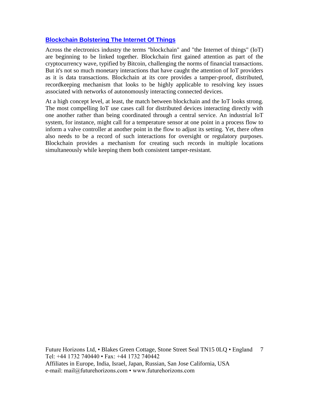## **[Blockchain Bolstering The Internet Of Things](https://www.eetimes.com/document.asp?doc_id=1335022&_mc=RSS_EET_EDT&utm_source=newsletter&utm_campaign=link&utm_medium=EETimesIoT-20190905)**

Across the electronics industry the terms "blockchain" and "the Internet of things" (IoT) are beginning to be linked together. Blockchain first gained attention as part of the cryptocurrency wave, typified by Bitcoin, challenging the norms of financial transactions. But it's not so much monetary interactions that have caught the attention of IoT providers as it is data transactions. Blockchain at its core provides a tamper-proof, distributed, recordkeeping mechanism that looks to be highly applicable to resolving key issues associated with networks of autonomously interacting connected devices.

At a high concept level, at least, the match between blockchain and the IoT looks strong. The most compelling IoT use cases call for distributed devices interacting directly with one another rather than being coordinated through a central service. An industrial IoT system, for instance, might call for a temperature sensor at one point in a process flow to inform a valve controller at another point in the flow to adjust its setting. Yet, there often also needs to be a record of such interactions for oversight or regulatory purposes. Blockchain provides a mechanism for creating such records in multiple locations simultaneously while keeping them both consistent tamper-resistant.

Future Horizons Ltd, • Blakes Green Cottage, Stone Street Seal TN15 0LQ • England 7 Tel: +44 1732 740440 • Fax: +44 1732 740442 Affiliates in Europe, India, Israel, Japan, Russian, San Jose California, USA e-mail: mail@futurehorizons.com • www.futurehorizons.com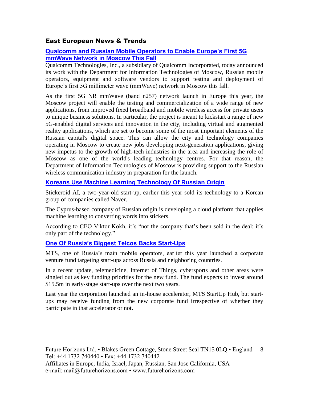# East European News & Trends

# **[Qualcomm and Russian Mobile Operators to Enable Europe's First 5G](https://www.qualcomm.com/news/releases/2019/08/14/qualcomm-and-russian-mobile-operators-enable-europes-first-5g-mmwave?mkt_tok=eyJpIjoiTVdJelpEY3lOVFUzTXpoaCIsInQiOiJaYkhzKzNlMjRyWml6SnNzdGRFVzVxVWk1aFlNMGErdDZXYmk1UmZ3aWdwY1lxMEtcL1JaQzlqUUs5MnBmMmRPRHNqQ21LcUhndnNtV24zQ0ZPczBxdkFNbTZldHFVNE1wUDZndlhXYStZSzYyek9wSm1qUmtkbURWdTh6Z1AyZWQifQ%3D%3D)  [mmWave Network in Moscow This Fall](https://www.qualcomm.com/news/releases/2019/08/14/qualcomm-and-russian-mobile-operators-enable-europes-first-5g-mmwave?mkt_tok=eyJpIjoiTVdJelpEY3lOVFUzTXpoaCIsInQiOiJaYkhzKzNlMjRyWml6SnNzdGRFVzVxVWk1aFlNMGErdDZXYmk1UmZ3aWdwY1lxMEtcL1JaQzlqUUs5MnBmMmRPRHNqQ21LcUhndnNtV24zQ0ZPczBxdkFNbTZldHFVNE1wUDZndlhXYStZSzYyek9wSm1qUmtkbURWdTh6Z1AyZWQifQ%3D%3D)**

Qualcomm Technologies, Inc., a subsidiary of Qualcomm Incorporated, today announced its work with the Department for Information Technologies of Moscow, Russian mobile operators, equipment and software vendors to support testing and deployment of Europe's first 5G millimeter wave (mmWave) network in Moscow this fall.

As the first 5G NR mmWave (band n257) network launch in Europe this year, the Moscow project will enable the testing and commercialization of a wide range of new applications, from improved fixed broadband and mobile wireless access for private users to unique business solutions. In particular, the project is meant to kickstart a range of new 5G-enabled digital services and innovation in the city, including virtual and augmented reality applications, which are set to become some of the most important elements of the Russian capital's digital space. This can allow the city and technology companies operating in Moscow to create new jobs developing next-generation applications, giving new impetus to the growth of high-tech industries in the area and increasing the role of Moscow as one of the world's leading technology centres. For that reason, the Department of Information Technologies of Moscow is providing support to the Russian wireless communication industry in preparation for the launch.

# **[Koreans Use Machine Learning Technology Of Russian Origin](http://www.marchmontnews.com/Finance-Business/Central-regions/22017-Koreans-use-machine-learning-technology-Russian-origin-.html)**

Stickeroid AI, a two-year-old start-up, earlier this year sold its technology to a Korean group of companies called Naver.

The Cyprus-based company of Russian origin is developing a cloud platform that applies machine learning to converting words into stickers.

According to CEO Viktor Kokh, it's "not the company that's been sold in the deal; it's only part of the technology."

# **[One Of Russia's Biggest Telcos Backs Start-Ups](http://www.marchmontnews.com/Finance-Business/Central-regions/22062-One-Russias-biggest-telcos-backs-start-ups.html)**

MTS, one of Russia's main mobile operators, earlier this year launched a corporate venture fund targeting start-ups across Russia and neighboring countries.

In a recent update, telemedicine, Internet of Things, cybersports and other areas were singled out as key funding priorities for the new fund. The fund expects to invest around \$15.5m in early-stage start-ups over the next two years.

Last year the corporation launched an in-house accelerator, MTS StartUp Hub, but startups may receive funding from the new corporate fund irrespective of whether they participate in that accelerator or not.

Future Horizons Ltd, • Blakes Green Cottage, Stone Street Seal TN15 0LQ • England 8 Tel: +44 1732 740440 • Fax: +44 1732 740442 Affiliates in Europe, India, Israel, Japan, Russian, San Jose California, USA e-mail: mail@futurehorizons.com • www.futurehorizons.com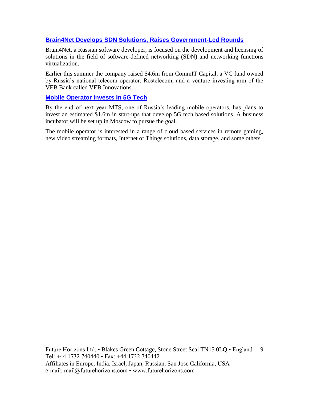# **[Brain4Net Develops SDN Solutions, Raises Government-Led Rounds](http://www.marchmontnews.com/Finance-Business/Central-regions/22080-Brain4Net-develops-SDN-solutions-raises-government-led-rounds-.html)**

Brain4Net, a Russian software developer, is focused on the development and licensing of solutions in the field of software-defined networking (SDN) and networking functions virtualization.

Earlier this summer the company raised \$4.6m from CommIT Capital, a VC fund owned by Russia's national telecom operator, Rostelecom, and a venture investing arm of the VEB Bank called VEB Innovations.

#### **[Mobile Operator Invests In 5G Tech](http://www.marchmontnews.com/Telecoms-Media/Central-regions/22093-Mobile-operator-invests-5G-tech.html)**

By the end of next year MTS, one of Russia's leading mobile operators, has plans to invest an estimated \$1.6m in start-ups that develop 5G tech based solutions. A business incubator will be set up in Moscow to pursue the goal.

The mobile operator is interested in a range of cloud based services in remote gaming, new video streaming formats, Internet of Things solutions, data storage, and some others.

Future Horizons Ltd, • Blakes Green Cottage, Stone Street Seal TN15 0LQ • England 9 Tel: +44 1732 740440 • Fax: +44 1732 740442 Affiliates in Europe, India, Israel, Japan, Russian, San Jose California, USA e-mail: mail@futurehorizons.com • www.futurehorizons.com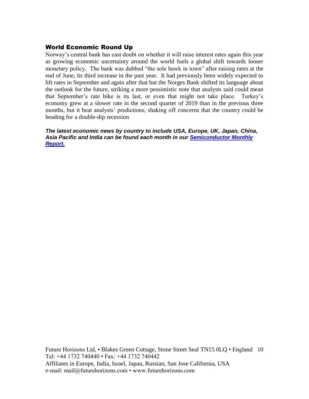# World Economic Round Up

Norway's central bank has cast doubt on whether it will raise interest rates again this year as growing economic uncertainty around the world fuels a global shift towards looser monetary policy. The bank was dubbed "the sole hawk in town" after raising rates at the end of June, its third increase in the past year. It had previously been widely expected to lift rates in September and again after that but the Norges Bank shifted its language about the outlook for the future, striking a more pessimistic note that analysts said could mean that September's rate hike is its last, or even that might not take place. Turkey's economy grew at a slower rate in the second quarter of 2019 than in the previous three months, but it beat analysts' predictions, shaking off concerns that the country could be heading for a double-dip recession

*The latest economic news by country to include USA, Europe, UK, Japan, China, Asia Pacific and India can be found each month in our [Semiconductor Monthly](http://www.futurehorizons.com/page/18/Global-Semiconductor-Report)  [Report.](http://www.futurehorizons.com/page/18/Global-Semiconductor-Report)* 

Future Horizons Ltd, • Blakes Green Cottage, Stone Street Seal TN15 0LQ • England 10 Tel: +44 1732 740440 • Fax: +44 1732 740442 Affiliates in Europe, India, Israel, Japan, Russian, San Jose California, USA e-mail: mail@futurehorizons.com • www.futurehorizons.com